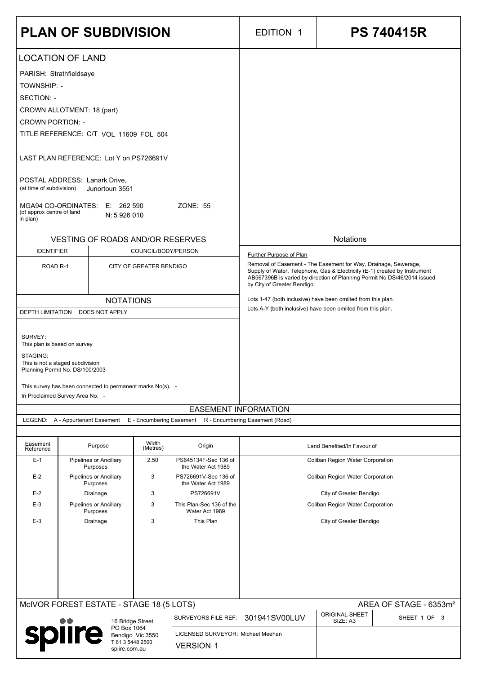|                                                                                                                             | <b>PLAN OF SUBDIVISION</b>                                                                    |                         |                                                         | <b>EDITION 1</b>                                                                                                                                                                                                                                        | <b>PS 740415R</b>                                 |  |  |
|-----------------------------------------------------------------------------------------------------------------------------|-----------------------------------------------------------------------------------------------|-------------------------|---------------------------------------------------------|---------------------------------------------------------------------------------------------------------------------------------------------------------------------------------------------------------------------------------------------------------|---------------------------------------------------|--|--|
| <b>TOWNSHIP: -</b>                                                                                                          | <b>LOCATION OF LAND</b><br>PARISH: Strathfieldsaye                                            |                         |                                                         |                                                                                                                                                                                                                                                         |                                                   |  |  |
| <b>SECTION: -</b>                                                                                                           | CROWN ALLOTMENT: 18 (part)                                                                    |                         |                                                         |                                                                                                                                                                                                                                                         |                                                   |  |  |
| <b>CROWN PORTION: -</b>                                                                                                     | TITLE REFERENCE: C/T VOL 11609 FOL 504                                                        |                         |                                                         |                                                                                                                                                                                                                                                         |                                                   |  |  |
|                                                                                                                             | LAST PLAN REFERENCE: Lot Y on PS726691V                                                       |                         |                                                         |                                                                                                                                                                                                                                                         |                                                   |  |  |
| (at time of subdivision)                                                                                                    | POSTAL ADDRESS: Lanark Drive,<br>Junortoun 3551                                               |                         |                                                         |                                                                                                                                                                                                                                                         |                                                   |  |  |
| (of approx centre of land<br>in plan)                                                                                       | MGA94 CO-ORDINATES:<br>E: 262 590<br>N: 5 926 010                                             |                         | <b>ZONE: 55</b>                                         |                                                                                                                                                                                                                                                         |                                                   |  |  |
| <b>IDENTIFIER</b>                                                                                                           | <b>VESTING OF ROADS AND/OR RESERVES</b>                                                       | COUNCIL/BODY/PERSON     |                                                         | <b>Notations</b><br>Further Purpose of Plan                                                                                                                                                                                                             |                                                   |  |  |
| ROAD <sub>R-1</sub>                                                                                                         |                                                                                               | CITY OF GREATER BENDIGO |                                                         | Removal of Easement - The Easement for Way, Drainage, Sewerage,<br>Supply of Water, Telephone, Gas & Electricity (E-1) created by Instrument<br>AB567396B is varied by direction of Planning Permit No DS/46/2014 issued<br>by City of Greater Bendigo. |                                                   |  |  |
| <b>DEPTH LIMITATION</b>                                                                                                     | <b>NOTATIONS</b><br>DOES NOT APPLY                                                            |                         |                                                         | Lots 1-47 (both inclusive) have been omiited from this plan.<br>Lots A-Y (both inclusive) have been omiited from this plan.                                                                                                                             |                                                   |  |  |
| SURVEY:                                                                                                                     | This plan is based on survey                                                                  |                         |                                                         |                                                                                                                                                                                                                                                         |                                                   |  |  |
| STAGING:                                                                                                                    | This is not a staged subdivision<br>Planning Permit No. DS/100/2003                           |                         |                                                         |                                                                                                                                                                                                                                                         |                                                   |  |  |
|                                                                                                                             | This survey has been connected to permanent marks No(s). -<br>In Proclaimed Survey Area No. - |                         |                                                         |                                                                                                                                                                                                                                                         |                                                   |  |  |
| <b>EASEMENT INFORMATION</b><br>LEGEND: A - Appurtenant Easement<br>E - Encumbering Easement R - Encumbering Easement (Road) |                                                                                               |                         |                                                         |                                                                                                                                                                                                                                                         |                                                   |  |  |
| Easement<br>Reference                                                                                                       | Purpose                                                                                       | Width<br>(Metres)       | Origin                                                  |                                                                                                                                                                                                                                                         | Land Benefited/In Favour of                       |  |  |
| $E-1$                                                                                                                       | <b>Pipelines or Ancillary</b><br>Purposes                                                     | 2.50                    | PS645134F-Sec 136 of<br>the Water Act 1989              | <b>Coliban Region Water Corporation</b>                                                                                                                                                                                                                 |                                                   |  |  |
| $E-2$<br>$E-2$                                                                                                              | <b>Pipelines or Ancillary</b><br>Purposes<br>Drainage                                         | 3<br>3                  | PS726691V-Sec 136 of<br>the Water Act 1989<br>PS726691V | Coliban Region Water Corporation                                                                                                                                                                                                                        |                                                   |  |  |
| $E-3$                                                                                                                       | <b>Pipelines or Ancillary</b><br>Purposes                                                     | 3                       | This Plan-Sec 136 of the<br>Water Act 1989              | City of Greater Bendigo<br>Coliban Region Water Corporation                                                                                                                                                                                             |                                                   |  |  |
| $E-3$                                                                                                                       | Drainage                                                                                      | 3                       | This Plan                                               | City of Greater Bendigo                                                                                                                                                                                                                                 |                                                   |  |  |
|                                                                                                                             |                                                                                               |                         |                                                         |                                                                                                                                                                                                                                                         | AREA OF STAGE - 6353m <sup>2</sup>                |  |  |
| MCIVOR FOREST ESTATE - STAGE 18 (5 LOTS)<br>16 Bridge Street<br>PO Box 1064<br>spiire<br>Bendigo Vic 3550                   |                                                                                               |                         | SURVEYORS FILE REF:                                     | 301941SV00LUV                                                                                                                                                                                                                                           | <b>ORIGINAL SHEET</b><br>SHEET 1 OF 3<br>SIZE: A3 |  |  |
|                                                                                                                             |                                                                                               |                         | LICENSED SURVEYOR: Michael Meehan                       |                                                                                                                                                                                                                                                         |                                                   |  |  |
| T 61 3 5448 2500<br><b>VERSION 1</b><br>spiire.com.au                                                                       |                                                                                               |                         |                                                         |                                                                                                                                                                                                                                                         |                                                   |  |  |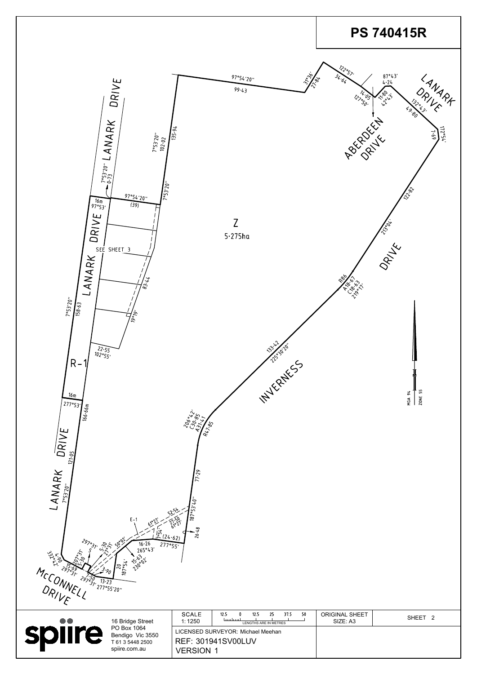| لاملام<br>مامونه<br>رام<br>2970<br>MCCONNEL | <b>SO</b> OD!<br>297°31'<br>$\sim$<br>187°54'<br>75.69<br>3.90<br>29/50<br>13.23<br>277°55'20" | $E - 1$<br>61°27'<br>$\frac{15}{10}$ (24.62)<br>$16.26$<br>265°43′<br>277°55'<br><b>120°</b> 12 | $\mathcal{P}^{S^{\mathbf{b}}\mathbf{b}}$<br>$\int_{\mathbb{B}}^{16}$<br>26.48 |  |
|---------------------------------------------|------------------------------------------------------------------------------------------------|-------------------------------------------------------------------------------------------------|-------------------------------------------------------------------------------|--|
|                                             |                                                                                                | 16 Bridge Street                                                                                | <b>SCALE</b><br>1:1250                                                        |  |



| DO | 16 Bridge Street<br>PO Box 1064<br>Bendigo Vic 3550<br>T 61 3 5448 2500<br>spiire.com.au | <b>SCALE</b><br>1:1250 | 37.5<br>-50<br>12.5<br>12.5<br>لىسلىسا<br>LENGTHS ARE IN METRES | <b>ORIGINAL SHEET</b><br>SIZE: A3 | <b>SHEET</b> |
|----|------------------------------------------------------------------------------------------|------------------------|-----------------------------------------------------------------|-----------------------------------|--------------|
|    |                                                                                          | <b>VERSION 1</b>       | LICENSED SURVEYOR: Michael Meehan<br><b>REF: 301941SV00LUV</b>  |                                   |              |